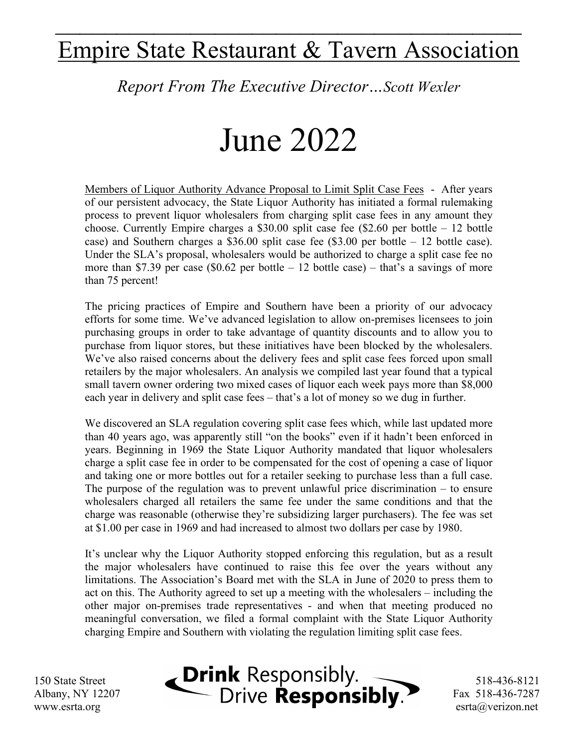## Empire State Restaurant & Tavern Association

 $\mathcal{L}_\text{max}$  and  $\mathcal{L}_\text{max}$  and  $\mathcal{L}_\text{max}$  and  $\mathcal{L}_\text{max}$  and  $\mathcal{L}_\text{max}$ 

*Report From The Executive Director…Scott Wexler*

## June 2022

Members of Liquor Authority Advance Proposal to Limit Split Case Fees - After years of our persistent advocacy, the State Liquor Authority has initiated a formal rulemaking process to prevent liquor wholesalers from charging split case fees in any amount they choose. Currently Empire charges a \$30.00 split case fee (\$2.60 per bottle – 12 bottle case) and Southern charges a \$36.00 split case fee (\$3.00 per bottle – 12 bottle case). Under the SLA's proposal, wholesalers would be authorized to charge a split case fee no more than \$7.39 per case (\$0.62 per bottle  $-12$  bottle case) – that's a savings of more than 75 percent!

The pricing practices of Empire and Southern have been a priority of our advocacy efforts for some time. We've advanced legislation to allow on-premises licensees to join purchasing groups in order to take advantage of quantity discounts and to allow you to purchase from liquor stores, but these initiatives have been blocked by the wholesalers. We've also raised concerns about the delivery fees and split case fees forced upon small retailers by the major wholesalers. An analysis we compiled last year found that a typical small tavern owner ordering two mixed cases of liquor each week pays more than \$8,000 each year in delivery and split case fees – that's a lot of money so we dug in further.

We discovered an SLA regulation covering split case fees which, while last updated more than 40 years ago, was apparently still "on the books" even if it hadn't been enforced in years. Beginning in 1969 the State Liquor Authority mandated that liquor wholesalers charge a split case fee in order to be compensated for the cost of opening a case of liquor and taking one or more bottles out for a retailer seeking to purchase less than a full case. The purpose of the regulation was to prevent unlawful price discrimination – to ensure wholesalers charged all retailers the same fee under the same conditions and that the charge was reasonable (otherwise they're subsidizing larger purchasers). The fee was set at \$1.00 per case in 1969 and had increased to almost two dollars per case by 1980.

It's unclear why the Liquor Authority stopped enforcing this regulation, but as a result the major wholesalers have continued to raise this fee over the years without any limitations. The Association's Board met with the SLA in June of 2020 to press them to act on this. The Authority agreed to set up a meeting with the wholesalers – including the other major on-premises trade representatives - and when that meeting produced no meaningful conversation, we filed a formal complaint with the State Liquor Authority charging Empire and Southern with violating the regulation limiting split case fees.